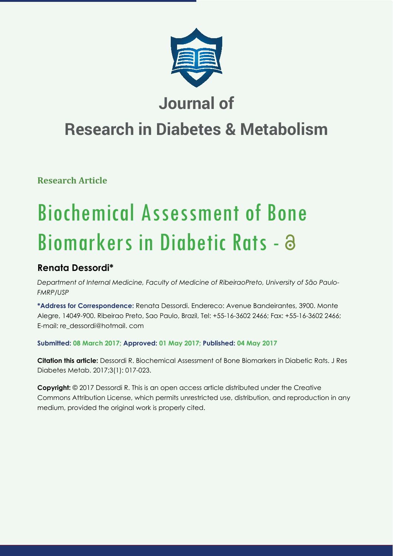

# **Journal of**

# **Research in Diabetes & Metabolism**

**Research Article**

# Biochemical Assessment of Bone Biomarkers in Diabetic Rats -

# **Renata Dessordi\***

*Department of Internal Medicine, Faculty of Medicine of RibeiraoPreto, University of São Paulo-FMRP/USP*

**\*Address for Correspondence:** Renata Dessordi. Endereco: Avenue Bandeirantes, 3900. Monte Alegre, 14049-900. Ribeirao Preto, Sao Paulo, Brazil, Tel: +55-16-3602 2466; Fax: +55-16-3602 2466; E-mail: re\_dessordi@hotmail. com

# **Submitted: 08 March 2017; Approved: 01 May 2017; Published: 04 May 2017**

**Citation this article:** Dessordi R. Biochemical Assessment of Bone Biomarkers in Diabetic Rats. J Res Diabetes Metab. 2017;3(1): 017-023.

**Copyright:** © 2017 Dessordi R. This is an open access article distributed under the Creative Commons Attribution License, which permits unrestricted use, distribution, and reproduction in any medium, provided the original work is properly cited.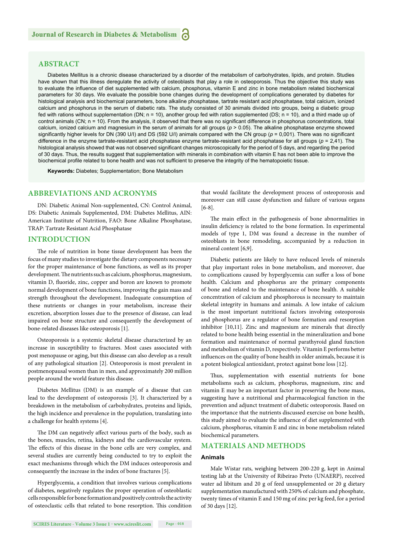# **ABSTRACT**

Diabetes Mellitus is a chronic disease characterized by a disorder of the metabolism of carbohydrates, lipids, and protein. Studies have shown that this illness deregulate the activity of osteoblasts that play a role in osteoporosis. Thus the objective this study was to evaluate the influence of diet supplemented with calcium, phosphorus, vitamin E and zinc in bone metabolism related biochemical parameters for 30 days. We evaluate the possible bone changes during the development of complications generated by diabetes for histological analysis and biochemical parameters, bone alkaline phosphatase, tartrate resistant acid phosphatase, total calcium, ionized calcium and phosphorus in the serum of diabetic rats. The study consisted of 30 animals divided into groups, being a diabetic group fed with rations without supplementation (DN; n = 10), another group fed with ration supplemented (DS; n = 10), and a third made up of control animals (CN; n = 10). From the analysis, it observed that there was no significant difference in phosphorus concentrations, total calcium, ionized calcium and magnesium in the serum of animals for all groups (*p* > 0.05). The alkaline phosphatase enzyme showed significantly higher levels for DN (390 U/I) and DS (592 U/I) animals compared with the CN group ( $p = 0.001$ ). There was no significant difference in the enzyme tartrate-resistant acid phosphatase enzyme tartrate-resistant acid phosphatase for all groups (*p* = 2,41). The histological analysis showed that was not observed significant changes microscopically for the period of 5 days, and regarding the period of 30 days. Thus, the results suggest that supplementation with minerals in combination with vitamin E has not been able to improve the biochemical profile related to bone health and was not sufficient to preserve the integrity of the hematopoietic tissue.

**Keywords:** Diabetes; Supplementation; Bone Metabolism

### **ABBREVIATIONS AND ACRONYMS**

DN: Diabetic Animal Non-supplemented, CN: Control Animal, DS: Diabetic Animals Supplemented, DM: Diabetes Mellitus, AIN: American Institute of Nutrition, FAO: Bone Alkaline Phosphatase, TRAP: Tartrate Resistant Acid Phosphatase

#### **INTRODUCTION**

The role of nutrition in bone tissue development has been the focus of many studies to investigate the dietary components necessary for the proper maintenance of bone functions, as well as its proper development. The nutrients such as calcium, phosphorus, magnesium, vitamin D, fluoride, zinc, copper and boron are known to promote normal development of bone functions, improving the gain mass and strength throughout the development. Inadequate consumption of these nutrients or changes in your metabolism, increase their excretion, absorption losses due to the presence of disease, can lead impaired on bone structure and consequently the development of bone-related diseases like osteoporosis [1].

Osteoporosis is a systemic skeletal disease characterized by an increase in susceptibility to fractures. Most cases associated with post menopause or aging, but this disease can also develop as a result of any pathological situation [2]. Osteoporosis is most prevalent in postmenopausal women than in men, and approximately 200 million people around the world feature this disease.

Diabetes Mellitus (DM) is an example of a disease that can lead to the development of osteoporosis [3]. It characterized by a breakdown in the metabolism of carbohydrates, proteins and lipids, the high incidence and prevalence in the population, translating into a challenge for health systems [4].

The DM can negatively affect various parts of the body, such as the bones, muscles, retina, kidneys and the cardiovascular system. The effects of this disease in the bone cells are very complex, and several studies are currently being conducted to try to exploit the exact mechanisms through which the DM induces osteoporosis and consequently the increase in the index of bone fractures [5].

Hyperglycemia, a condition that involves various complications of diabetes, negatively regulates the proper operation of osteoblastic cells responsible for bone formation and positively controls the activity of osteoclastic cells that related to bone resorption. This condition

that would facilitate the development process of osteoporosis and moreover can still cause dysfunction and failure of various organs [6-8].

The main effect in the pathogenesis of bone abnormalities in insulin deficiency is related to the bone formation. In experimental models of type 1, DM was found a decrease in the number of osteoblasts in bone remodeling, accompanied by a reduction in mineral content [6,9].

Diabetic patients are likely to have reduced levels of minerals that play important roles in bone metabolism, and moreover, due to complications caused by hyperglycemia can suffer a loss of bone health. Calcium and phosphorus are the primary components of bone and related to the maintenance of bone health. A suitable concentration of calcium and phosphorous is necessary to maintain skeletal integrity in humans and animals. A low intake of calcium is the most important nutritional factors involving osteoporosis and phosphorus are a regulator of bone formation and resorption inhibitor [10,11]. Zinc and magnesium are minerals that directly related to bone health being essential in the mineralization and bone formation and maintenance of normal parathyroid gland function and metabolism of vitamin D, respectively. Vitamin E performs better influences on the quality of bone health in older animals, because it is a potent biological antioxidant, protect against bone loss [12].

Thus, supplementation with essential nutrients for bone metabolisms such as calcium, phosphorus, magnesium, zinc and vitamin E may be an important factor in preserving the bone mass, suggesting have a nutritional and pharmacological function in the prevention and adjunct treatment of diabetic osteoporosis. Based on the importance that the nutrients discussed exercise on bone health, this study aimed to evaluate the influence of diet supplemented with calcium, phosphorus, vitamin E and zinc in bone metabolism related biochemical parameters.

# **MATERIALS AND METHODS**

#### **Animals**

Male Wistar rats, weighing between 200-220 g, kept in Animal testing lab at the University of Ribeirao Preto (UNAERP), received water ad libitum and 20 g of feed unsupplemented or 20 g dietary supplementation manufactured with 250% of calcium and phosphate, twenty times of vitamin E and 150 mg of zinc per kg feed, for a period of 30 days [12].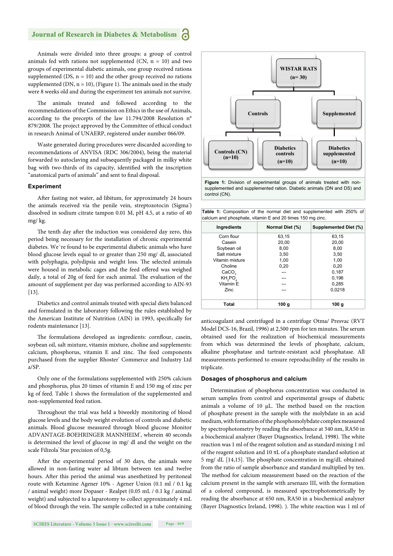Animals were divided into three groups: a group of control animals fed with rations not supplemented (CN,  $n = 10$ ) and two groups of experimental diabetic animals, one group received rations supplemented (DS,  $n = 10$ ) and the other group received no rations supplemented (DN,  $n = 10$ ), (Figure 1). The animals used in the study were 8 weeks old and during the experiment ten animals not survive.

The animals treated and followed according to the recommendations of the Commission on Ethics in the use of Animals, according to the precepts of the law 11.794/2008 Resolution n° 879/2008. The project approved by the Committee of ethical conduct in research Animal of UNAERP, registered under number 066/09.

Waste generated during procedures were discarded according to recommendations of ANVISA (RDC 306/2004), being the material forwarded to autoclaving and subsequently packaged in milky white bag with two-thirds of its capacity, identified with the inscription "anatomical parts of animals" and sent to final disposal.

#### **Experiment**

After fasting not water, ad libitum, for approximately 24 hours the animals received via the penile vein, streptozotocin (Sigma<sup>®</sup>) dissolved in sodium citrate tampon 0.01 M, pH 4.5, at a ratio of 40 mg/ kg.

The tenth day after the induction was considered day zero, this period being necessary for the installation of chronic experimental diabetes. We´re found to be experimental diabetic animals who have blood glucose levels equal to or greater than 250 mg/ dl, associated with polyphagia, polydipsia and weight loss. The selected animals were housed in metabolic cages and the feed offered was weighed daily, a total of 20g of feed for each animal. The evaluation of the amount of supplement per day was performed according to AIN-93 [13].

Diabetics and control animals treated with special diets balanced and formulated in the laboratory following the rules established by the American Institute of Nutrition (AIN) in 1993, specifically for rodents maintenance [13].

The formulations developed as ingredients: cornflour, casein, soybean oil, salt mixture, vitamin mixture, choline and supplements: calcium, phosphorus, vitamin E and zinc. The feed components purchased from the supplier Rhoster' Commerce and Industry Ltd a/SP.

Only one of the formulations supplemented with 250% calcium and phosphorus, plus 20 times of vitamin E and 150 mg of zinc per kg of feed. Table 1 shows the formulation of the supplemented and non-supplemented feed ration.

Throughout the trial was held a biweekly monitoring of blood glucose levels and the body weight evolution of controls and diabetic animals. Blood glucose measured through blood glucose Monitor ADVANTAGE-BOEHRINGER MANNHEIM', wherein 40 seconds is determined the level of glucose in mg/ dl and the weight on the scale Filizola<sup>®</sup> Star precision of 0,5g.

After the experimental period of 30 days, the animals were allowed in non-fasting water ad libtum between ten and twelve hours. After this period the animal was anesthetized by peritoneal route with Ketamine Agener 10% - Agener Union (0.1 ml / 0.1 kg / animal weight) more Dopaser - Realpet (0.05 mL / 0.1 kg / animal weight) and subjected to a laparotomy to collect approximately 4 mL of blood through the vein. The sample collected in a tube containing



supplemented and supplemented ration. Diabetic animals (DN and DS) and control (CN).

**Table 1:** Composition of the normal diet and supplemented with 250% of calcium and phosphate, vitamin E and 20 times 150 mg zinc.

| Ingredients        | Normal Diet (%)  | <b>Supplemented Diet (%)</b> |
|--------------------|------------------|------------------------------|
| Corn flour         | 63.15            | 63,15                        |
| Casein             | 20,00            | 20,00                        |
| Soybean oil        | 8,00             | 8,00                         |
| Salt mixture       | 3,50             | 3,50                         |
| Vitamin mixture    | 1,00             | 1,00                         |
| Choline            | 0,20             | 0.20                         |
| CaCO <sub>3</sub>  | ---              | 0,187                        |
| KH <sub>2</sub> PO |                  | 0,196                        |
| Vitamin E          |                  | 0,285                        |
| <b>Zinc</b>        |                  | 0.0218                       |
| Total              | 100 <sub>q</sub> | 100 <sub>g</sub>             |

anticoagulant and centrifuged in a centrifuge Otma/ Presvac (RVT Model DCS-16, Brazil, 1996) at 2,500 rpm for ten minutes. The serum obtained used for the realization of biochemical measurements from which was determined the levels of phosphate, calcium, alkaline phosphatase and tartrate-resistant acid phosphatase. All measurements performed to ensure reproducibility of the results in triplicate.

#### **Dosages of phosphorus and calcium**

Determination of phosphorus concentration was conducted in serum samples from control and experimental groups of diabetic animals a volume of 10  $\mu$ L. The method based on the reaction of phosphate present in the sample with the molybdate in an acid medium, with formation of the phosphomolybdate complex measured by spectrophotometry by reading the absorbance at 340 nm, RA50 in a biochemical analyzer (Bayer Diagnostics, Ireland, 1998). The white reaction was 1 ml of the reagent solution and as standard mixing 1 ml of the reagent solution and 10  $\pi$ L of a phosphate standard solution at 5 mg/ dL  $[14,15]$ . The phosphate concentration in mg/dL obtained from the ratio of sample absorbance and standard multiplied by ten. The method for calcium measurement based on the reaction of the calcium present in the sample with arsenazo III, with the formation of a colored compound, is measured spectrophotometrically by reading the absorbance at 650 nm, RA50 in a biochemical analyzer (Bayer Diagnostics Ireland, 1998). ). The white reaction was 1 ml of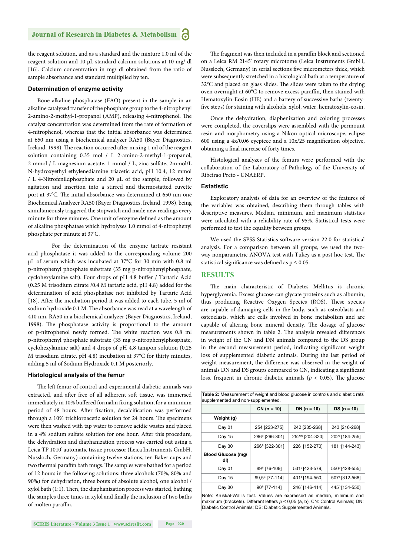the reagent solution, and as a standard and the mixture 1.0 ml of the reagent solution and 10 μL standard calcium solutions at 10 mg/ dl [16]. Calcium concentration in mg/ dl obtained from the ratio of sample absorbance and standard multiplied by ten.

#### **Determination of enzyme activity**

Bone alkaline phosphatase (FAO) present in the sample in an alkaline catalyzed transfer of the phosphate group to the 4-nitrophenyl 2-amino-2-methyl-1-propanol (AMP), releasing 4-nitrophenol. The catalyst concentration was determined from the rate of formation of 4-nitrophenol, whereas that the initial absorbance was determined at 650 nm using a biochemical analyzer RA50 (Bayer Diagnostics, Ireland, 1998). The reaction occurred after mixing 1 ml of the reagent solution containing 0.35 mol / L 2-amino-2-methyl-1-propanol, 2 mmol / L magnesium acetate, 1 mmol / L, zinc sulfate, 2mmol/L N-hydroxyethyl ethylenediamine triacetic acid, pH 10.4, 12 mmol / L 4-Nitrofenildphosphate and 20 μL of the sample, followed by agitation and insertion into a stirred and thermostatted cuvette port at 37°C. The initial absorbance was determined at 650 nm one Biochemical Analyzer RA50 (Bayer Diagnostics, Ireland, 1998), being simultaneously triggered the stopwatch and made new readings every minute for three minutes. One unit of enzyme defined as the amount of alkaline phosphatase which hydrolyses 1.0 mmol of 4-nitrophenyl phosphate per minute at 37° C.

 For the determination of the enzyme tartrate resistant acid phosphatase it was added to the corresponding volume 200 μL of serum which was incubated at 37°C for 30 min with 0.8 ml p-nitrophenyl phosphate substrate (35 mg p-nitrophenylphosphate, cyclohexylamine salt). Four drops of pH 4.8 buffer / Tartaric Acid (0.25 M trisodium citrate /0.4 M tartaric acid, pH 4.8) added for the determination of acid phosphatase not inhibited by Tartaric Acid [18]. After the incubation period it was added to each tube, 5 ml of sodium hydroxide 0.1 M. The absorbance was read at a wavelength of 410 nm, RA50 in a biochemical analyzer (Bayer Diagnostics, Ireland, 1998). The phosphatase activity is proportional to the amount of p-nitrophenol newly formed. The white reaction was 0.8 ml p-nitrophenyl phosphate substrate (35 mg p-nitrophenylphosphate, cyclohexylamine salt) and 4 drops of pH 4.8 tampon solution (0.25 M trisodium citrate, pH 4.8) incubation at 37°C for thirty minutes, adding 5 ml of Sodium Hydroxide 0.1 M posteriorly.

#### **Histological analysis of the femur**

The left femur of control and experimental diabetic animals was extracted, and after free of all adherent soft tissue, was immersed immediately in 10% buffered formalin fixing solution, for a minimum period of 48 hours. After fixation, decalcification was performed through a 10% trichloroacetic solution for 24 hours. The specimens were then washed with tap water to remove acidic wastes and placed in a 4% sodium sulfate solution for one hour. After this procedure, the dehydration and diaphanization process was carried out using a Leica TP 1010° automatic tissue processor (Leica Instruments GmbH, Nussloch, Germany) containing twelve stations, ten Baker cups and two thermal paraffin bath mugs. The samples were bathed for a period of 12 hours in the following solutions: three alcohols (70%, 80% and 90%) for dehydration, three bouts of absolute alcohol, one alcohol /  $x$ ylol bath (1:1). Then, the diaphanization process was started, bathing the samples three times in xylol and finally the inclusion of two baths of molten paraffin.

The fragment was then included in a paraffin block and sectioned on a Leica RM 2145° rotary microtome (Leica Instruments GmbH, Nussloch, Germany) in serial sections five micrometers thick, which were subsequently stretched in a histological bath at a temperature of 32°C and placed on glass slides. The slides were taken to the drying oven overnight at 60°C to remove excess paraffin, then stained with Hematoxylin-Eosin (HE) and a battery of successive baths (twentyfive steps) for staining with alcohols, xylol, water, hematoxylin-eosin.

Once the dehydration, diaphenization and coloring processes were completed, the coverslips were assembled with the permount resin and morphometry using a Nikon optical microscope, eclipse 600 using a  $4x/0.06$  eyepiece and a  $10x/25$  magnification objective, obtaining a final increase of forty times.

Histological analyzes of the femurs were performed with the collaboration of the Laboratory of Pathology of the University of Ribeirao Preto - UNAERP.

#### **Estatistic**

Exploratory analysis of data for an overview of the features of the variables was obtained, describing them through tables with descriptive measures. Median, minimum, and maximum statistics were calculated with a reliability rate of 95%. Statistical tests were performed to test the equality between groups.

We used the SPSS Statistics software version 22.0 for statistical analysis. For a comparison between all groups, we used the twoway nonparametric ANOVA test with Tukey as a post hoc test. The statistical significance was defined as  $p \le 0.05$ .

# **RESULTS**

The main characteristic of Diabetes Mellitus is chronic hyperglycemia. Excess glucose can glycate proteins such as albumin, thus producing Reactive Oxygen Species (ROS). These species are capable of damaging cells in the body, such as osteoblasts and osteoclasts, which are cells involved in bone metabolism and are capable of altering bone mineral density. The dosage of glucose measurements shown in table 2. The analysis revealed differences in weight of the CN and DN animals compared to the DS group in the second measurement period, indicating significant weight loss of supplemented diabetic animals. During the last period of weight measurement, the difference was observed in the weight of animals DN and DS groups compared to CN, indicating a significant loss, frequent in chronic diabetic animals ( $p < 0.05$ ). The glucose

| Table 2: Measurement of weight and blood glucose in controls and diabetic rats |                            |                             |                            |  |  |
|--------------------------------------------------------------------------------|----------------------------|-----------------------------|----------------------------|--|--|
| supplemented and non-supplemented.                                             |                            |                             |                            |  |  |
|                                                                                | $CN (n = 10)$              | $DN (n = 10)$               | $DS (n = 10)$              |  |  |
| Weight (g)                                                                     |                            |                             |                            |  |  |
| Day 01                                                                         | 254 [223-275]              | 242 [235-268]               | 243 [216-268]              |  |  |
| Day 15                                                                         | 286 <sup>ª</sup> [266-301] | 252 <sup>ab</sup> [204-320] | 202 <sup>b</sup> [184-255] |  |  |
| Day 30                                                                         | 266 <sup>ª</sup> [322-301] | 226 <sup>b</sup> [152-270]  | 181 <sup>b</sup> [144-243] |  |  |
| <b>Blood Glucose (mg/</b><br>dl)                                               |                            |                             |                            |  |  |
| Day 01                                                                         | 89 <sup>ª</sup> [76-109]   | 531 <sup>b</sup> [423-579]  | 550 <sup>b</sup> [428-555] |  |  |
| Day 15                                                                         | 99,5 <sup>a</sup> [77-114] | 401 <sup>b</sup> [194-550]  | 507 <sup>b</sup> [312-568] |  |  |
| Day 30                                                                         | 90 <sup>a</sup> [77-114]   | 246 <sup>b</sup> [146-414]  | 445 <sup>b</sup> [134-550] |  |  |
| Note: Kruskal-Wallis test. Values are expressed as median, minimum and         |                            |                             |                            |  |  |

maximum (brackets). Different letters *p* < 0,05 (a, b). CN: Control Animals; DN: Diabetic Control Animals; DS: Diabetic Supplemented Animals.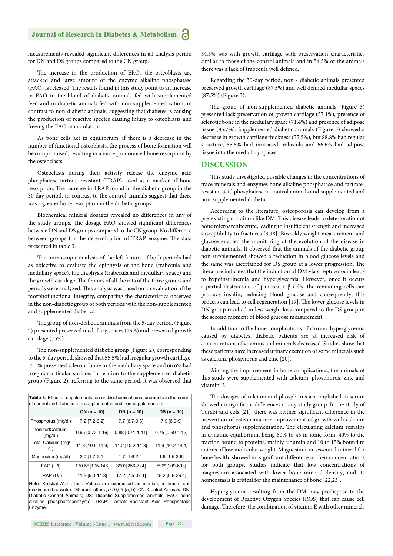measurements revealed significant differences in all analysis period for DN and DS groups compared to the CN group.

The increase in the production of EROs the osteoblasts are attacked and large amount of the enzyme alkaline phosphatase (FAO) is released. The results found in this study point to an increase in FAO in the blood of diabetic animals fed with supplemented feed and in diabetic animals fed with non-supplemented ration, in contrast to non-diabetic animals, suggesting that diabetes is causing the production of reactive species causing injury to osteoblasts and freeing the FAO in circulation.

As bone cells act in equilibrium, if there is a decrease in the number of functional osteoblasts, the process of bone formation will be compromised, resulting in a more pronounced bone resorption by the osteoclasts.

Osteoclasts during their activity release the enzyme acid phosphatase tartrate resistant (TRAP), used as a marker of bone resorption. The increase in TRAP found in the diabetic group in the 30 day period, in contrast to the control animals suggest that there was a greater bone resorption in the diabetic groups.

Biochemical mineral dosages revealed no differences in any of the study groups. The dosage FAO showed significant differences between DN and DS groups compared to the CN group. No difference between groups for the determination of TRAP enzyme. The data presented in table 3.

The microscopic analysis of the left femurs of both periods had as objective to evaluate the epiphysis of the bone (trabecula and medullary space), the diaphysis (trabecula and medullary space) and the growth cartilage. The femurs of all the rats of the three groups and periods were analyzed. This analysis was based on an evaluation of the morphofunctional integrity, comparing the characteristics observed in the non-diabetic group of both periods with the non-supplemented and supplemented diabetics.

The group of non-diabetic animals from the 5-day period. (Figure 2) presented preserved medullary spaces (75%) and preserved growth cartilage (75%).

The non-supplemented diabetic group (Figure 2), corresponding to the 5-day period, showed that 55.5% had irregular growth cartilage, 55.5% presented sclerotic bone in the medullary space and 66.6% had irregular articular surface. In relation to the supplemented diabetic group (Figure 2), referring to the same period, it was observed that

| Table 3: Effect of supplementation on biochemical measurements in the serum<br>of control and diabetic rats supplemented and non-supplemented. |                              |                            |                            |  |  |
|------------------------------------------------------------------------------------------------------------------------------------------------|------------------------------|----------------------------|----------------------------|--|--|
|                                                                                                                                                | $CN (n = 10)$                | DN $(n = 10)$              | $DS (n = 10)$              |  |  |
| Phosphorus (mg/dl)                                                                                                                             | 7.2 [7.2-9.2]                | 7.7 [6.7-9.3]              | 7.9 [6.9-9]                |  |  |
| IonizedCalcium<br>(mq/dl)                                                                                                                      | 0.95 [0.72-1.16]             | 0.88 [0.71-1.11]           | $0.75$ [0.69-1.12]         |  |  |
| Total Calcium (mg/<br>dl)                                                                                                                      | 11.3 [10.5-11.9]             | 11.2 [10.2-14.3]           | 11.9 [10.2-14.1]           |  |  |
| Magnesium(mg/dl)                                                                                                                               | $2.0$ [1.7-2.1]              | $1.7$ [1.6-2.4]            | $1.9$ [1.5-2.6]            |  |  |
| <b>FAO (U/I)</b>                                                                                                                               | 170.5 <sup>a</sup> [105-146] | 390 <sup>b</sup> [256-724] | 592 <sup>b</sup> [209-693] |  |  |
| TRAP (U/I)                                                                                                                                     | 11.5 [9.3-14.8]              | 17.2 [7.5-33.1]            | 15.2 [9.6-26.1]            |  |  |

Note: Kruskal-Wallis test. Values are expressed as median, minimum and maximum (brackets). Different letters *p* < 0,05 (a, b). CN: Control Animals; DN: Diabetic Control Animals; DS: Diabetic Supplemented Animals; FAO: bone alkaline phosphataseenzyme; TRAP: Tartrate-Resistant Acid Phosphatase Enzyme.

54.5% was with growth cartilage with preservation characteristics similar to those of the control animals and in 54.5% of the animals there was a lack of trabecula well defined.

Regarding the 30-day period, non - diabetic animals presented preserved growth cartilage (87.5%) and well defined medullar spaces (87.5%) (Figure 3).

The group of non-supplemented diabetic animals (Figure 3) presented lack preservation of growth cartilage (57.1%), presence of sclerotic bone in the medullary space (71.4%) and presence of adipose tissue (85.7%). Supplemented diabetic animals (Figure 3) showed a decrease in growth cartilage thickness (55.5%), but 88.8% had regular structure, 55.5% had increased trabecula and 66.6% had adipose tissue into the medullary spaces.

#### **DISCUSSION**

This study investigated possible changes in the concentrations of trace minerals and enzymes bone alkaline phosphatase and tartrateresistant acid phosphatase in control animals and supplemented and non-supplemented diabetic.

According to the literature, osteoporosis can develop from a pre-existing condition like DM. This disease leads to deterioration of bone microarchitecture, leading to insufficient strength and increased susceptibility to fractures [3,18]. Biweekly weight measurement and glucose enabled the monitoring of the evolution of the disease in diabetic animals. It observed that the animals of the diabetic group non-supplemented showed a reduction in blood glucose levels and the same was ascertained for DS group at a lower progression. The literature indicates that the induction of DM via streptozotocin leads to hypoinsulinemia and hyperglycemia. However, once it occurs a partial destruction of pancreatic β cells, the remaining cells can produce insulin, reducing blood glucose and consequently, this process can lead to cell regeneration [19]. The lower glucose levels in DN group resulted in less weight loss compared to the DS group in the second moment of blood glucose measurement.

In addition to the bone complications of chronic hyperglycemia caused by diabetes, diabetic patients are at increased risk of concentrations of vitamins and minerals decreased. Studies show that these patients have increased urinary excretion of some minerals such as calcium, phosphorus and zinc [20].

Aiming the improvement in bone complications, the animals of this study were supplemented with calcium, phosphorus, zinc and vitamin E.

The dosages of calcium and phosphorus accomplished in serum showed no significant differences in any study group. In the study of Torabi and cols [21], there was neither significant difference in the prevention of osteopenia nor improvement of growth with calcium and phosphorus supplementation. The circulating calcium remains in dynamic equilibrium, being 50% to 45 in ionic form, 40% to the fraction bound to proteins, mainly albumin and 10 to 15% bound to anions of low molecular weight. Magnesium, an essential mineral for bone health, showed no significant difference in their concentrations for both groups. Studies indicate that low concentrations of magnesium associated with lower bone mineral density, and its homeostasis is critical for the maintenance of bone [22,23].

Hyperglycemia resulting from the DM may predispose to the development of Reactive Oxygen Species (ROS) that can cause cell damage. Therefore, the combination of vitamin E with other minerals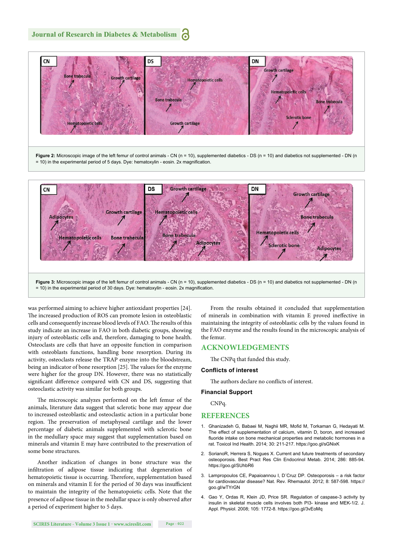

was performed aiming to achieve higher antioxidant properties [24]. The increased production of ROS can promote lesion in osteoblastic cells and consequently increase blood levels of FAO. The results of this study indicate an increase in FAO in both diabetic groups, showing injury of osteoblastic cells and, therefore, damaging to bone health. Osteoclasts are cells that have an opposite function in comparison with osteoblasts functions, handling bone resorption. During its activity, osteoclasts release the TRAP enzyme into the bloodstream, being an indicator of bone resorption [25]. The values for the enzyme were higher for the group DN. However, there was no statistically significant difference compared with CN and DS, suggesting that osteoclastic activity was similar for both groups.

The microscopic analyzes performed on the left femur of the animals, literature data suggest that sclerotic bone may appear due to increased osteoblastic and osteoclastic action in a particular bone region. The preservation of metaphyseal cartilage and the lower percentage of diabetic animals supplemented with sclerotic bone in the medullary space may suggest that supplementation based on minerals and vitamin E may have contributed to the preservation of some bone structures.

Another indication of changes in bone structure was the infiltration of adipose tissue indicating that degeneration of hematopoietic tissue is occurring. Therefore, supplementation based on minerals and vitamin E for the period of 30 days was insufficient to maintain the integrity of the hematopoietic cells. Note that the presence of adipose tissue in the medullar space is only observed after a period of experiment higher to 5 days.

From the results obtained it concluded that supplementation of minerals in combination with vitamin E proved ineffective in maintaining the integrity of osteoblastic cells by the values found in the FAO enzyme and the results found in the microscopic analysis of the femur.

#### **ACKNOWLEDGEMENTS**

The CNPq that funded this study.

#### **Conflicts of interest**

The authors declare no conflicts of interest.

#### **Financial Support**

CNPq.

#### **REFERENCES**

- Ghanizadeh G, Babaei M, Naghii MR, Mofid M, Torkaman G, Hedayati M. The effect of supplementation of calcium, vitamin D, boron, and increased fluoride intake on bone mechanical properties and metabolic hormones in a rat. Toxicol Ind Health. 2014; 30: 211-217. https://goo.gl/sGNixK
- 2. SorianoR, Herrera S, Nogues X. Current and future treatments of secondary osteoporosis. Best Pract Res Clin Endocrinol Metab. 2014; 286: 885-94. https://goo.gl/SUhbR6
- 3. Lampropoulos CE, Papaioannou I, D´Cruz DP. Osteoporosis a risk factor for cardiovascular disease? Nat. Rev. Rhemautol. 2012; 8: 587-598. https:// goo.gl/wTYrGN
- 4. Gao Y, Ordas R, Klein JD, Price SR. Regulation of caspase-3 activity by insulin in skeletal muscle cells involves both PI3- kinase and MEK-1/2. J. Appl. Physiol. 2008; 105: 1772-8. https://goo.gl/3vEoMq